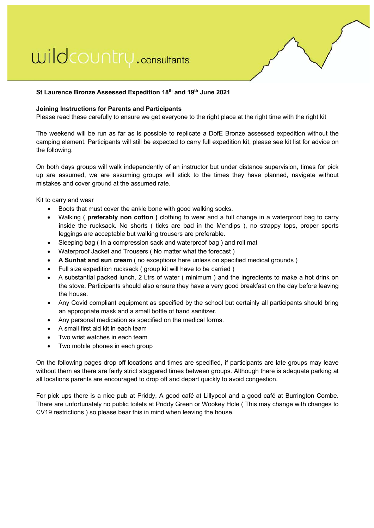# wildcountry.consultants



## **St Laurence Bronze Assessed Expedition 18th and 19th June 2021**

## **Joining Instructions for Parents and Participants**

Please read these carefully to ensure we get everyone to the right place at the right time with the right kit

The weekend will be run as far as is possible to replicate a DofE Bronze assessed expedition without the camping element. Participants will still be expected to carry full expedition kit, please see kit list for advice on the following.

On both days groups will walk independently of an instructor but under distance supervision, times for pick up are assumed, we are assuming groups will stick to the times they have planned, navigate without mistakes and cover ground at the assumed rate.

Kit to carry and wear

- Boots that must cover the ankle bone with good walking socks.
- Walking ( **preferably non cotton )** clothing to wear and a full change in a waterproof bag to carry inside the rucksack. No shorts ( ticks are bad in the Mendips ), no strappy tops, proper sports leggings are acceptable but walking trousers are preferable.
- Sleeping bag ( In a compression sack and waterproof bag ) and roll mat
- Waterproof Jacket and Trousers ( No matter what the forecast )
- **A Sunhat and sun cream** ( no exceptions here unless on specified medical grounds )
- Full size expedition rucksack ( group kit will have to be carried )
- A substantial packed lunch, 2 Ltrs of water ( minimum ) and the ingredients to make a hot drink on the stove. Participants should also ensure they have a very good breakfast on the day before leaving the house.
- Any Covid compliant equipment as specified by the school but certainly all participants should bring an appropriate mask and a small bottle of hand sanitizer.
- Any personal medication as specified on the medical forms.
- A small first aid kit in each team
- Two wrist watches in each team
- Two mobile phones in each group

On the following pages drop off locations and times are specified, if participants are late groups may leave without them as there are fairly strict staggered times between groups. Although there is adequate parking at all locations parents are encouraged to drop off and depart quickly to avoid congestion.

For pick ups there is a nice pub at Priddy, A good café at Lillypool and a good café at Burrington Combe. There are unfortunately no public toilets at Priddy Green or Wookey Hole ( This may change with changes to CV19 restrictions ) so please bear this in mind when leaving the house.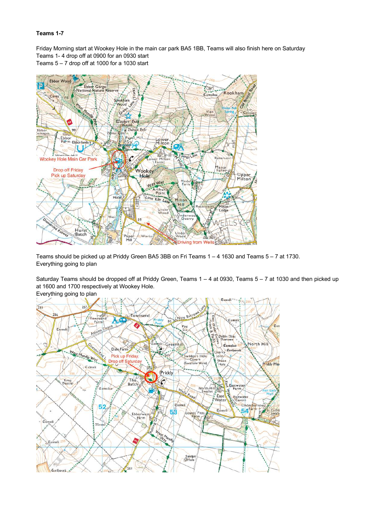### **Teams 1-7**

Friday Morning start at Wookey Hole in the main car park BA5 1BB, Teams will also finish here on Saturday Teams 1- 4 drop off at 0900 for an 0930 start

Teams 5 – 7 drop off at 1000 for a 1030 start



Teams should be picked up at Priddy Green BA5 3BB on Fri Teams 1 – 4 1630 and Teams 5 – 7 at 1730. Everything going to plan

Saturday Teams should be dropped off at Priddy Green, Teams 1 – 4 at 0930, Teams 5 – 7 at 1030 and then picked up at 1600 and 1700 respectively at Wookey Hole.